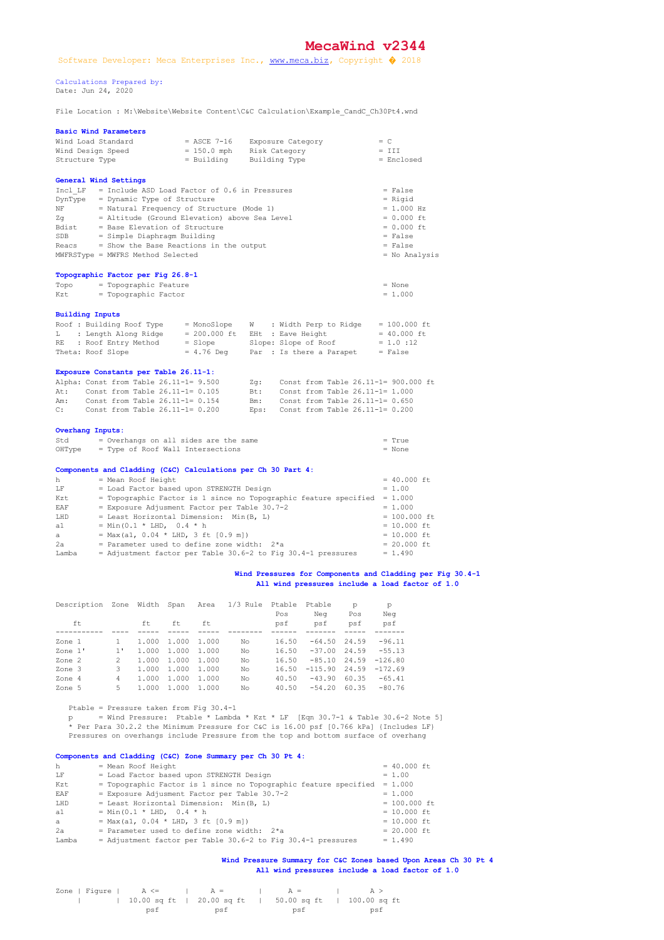## **MecaWind v2344**

 Calculations Prepared by: Date: Jun 24, 2020

File Location : M:\Website\Website Content\C&C Calculation\Example\_CandC\_Ch30Pt4.wnd

|                         | <b>Basic Wind Parameters</b>                                                            |                                           |                                                                |                                 |  |  |  |  |  |  |
|-------------------------|-----------------------------------------------------------------------------------------|-------------------------------------------|----------------------------------------------------------------|---------------------------------|--|--|--|--|--|--|
|                         | Wind Load Standard                                                                      | $=$ ASCE 7-16                             | Exposure Category                                              | $= C$                           |  |  |  |  |  |  |
|                         | Wind Design Speed                                                                       | $= 150.0$ mph                             | Risk Category                                                  | $= III$                         |  |  |  |  |  |  |
| Structure Type          |                                                                                         | = Building                                | Building Type                                                  | = Enclosed                      |  |  |  |  |  |  |
|                         | General Wind Settings                                                                   |                                           |                                                                |                                 |  |  |  |  |  |  |
| Incl LF                 | = Include ASD Load Factor of 0.6 in Pressures                                           |                                           |                                                                | $= False$                       |  |  |  |  |  |  |
|                         |                                                                                         | DynType = Dynamic Type of Structure       |                                                                |                                 |  |  |  |  |  |  |
| NF.                     |                                                                                         | = Natural Frequency of Structure (Mode 1) |                                                                |                                 |  |  |  |  |  |  |
| Zq                      | = Altitude (Ground Elevation) above Sea Level                                           |                                           |                                                                | $= 0.000$ ft                    |  |  |  |  |  |  |
| Bdist                   | = Base Elevation of Structure                                                           |                                           |                                                                | $= 0.000$ ft                    |  |  |  |  |  |  |
| SDB                     | = Simple Diaphragm Building                                                             |                                           |                                                                | $= False$                       |  |  |  |  |  |  |
| Reacs                   | = Show the Base Reactions in the output                                                 |                                           |                                                                | $= False$                       |  |  |  |  |  |  |
|                         | MWFRSType = MWFRS Method Selected                                                       |                                           |                                                                | $=$ No Analysis                 |  |  |  |  |  |  |
|                         | Topographic Factor per Fig 26.8-1                                                       |                                           |                                                                |                                 |  |  |  |  |  |  |
| Topo                    | = Topographic Feature                                                                   |                                           |                                                                | $=$ None                        |  |  |  |  |  |  |
| Kzt                     | = Topographic Factor                                                                    |                                           |                                                                | $= 1.000$                       |  |  |  |  |  |  |
|                         |                                                                                         |                                           |                                                                |                                 |  |  |  |  |  |  |
| <b>Building Inputs</b>  |                                                                                         |                                           |                                                                |                                 |  |  |  |  |  |  |
|                         | Roof : Building Roof Type                                                               | = MonoSlope                               | W : Width Perp to Ridge                                        | $= 100.000$ ft                  |  |  |  |  |  |  |
|                         | L : Length Along Ridge                                                                  |                                           | $= 200.000$ ft EHt : Eave Height                               | $= 40.000$ ft                   |  |  |  |  |  |  |
| RE 1                    | : Roof Entry Method                                                                     | $=$ Slope                                 | Slope: Slope of Roof                                           | $= 1.0 : 12$                    |  |  |  |  |  |  |
|                         | Theta: Roof Slope                                                                       | $= 4.76$ Deg                              | Par : Is there a Parapet                                       | $= False$                       |  |  |  |  |  |  |
|                         | Exposure Constants per Table 26.11-1:                                                   |                                           |                                                                |                                 |  |  |  |  |  |  |
|                         | Alpha: Const from Table 26.11-1= 9.500                                                  |                                           | Zq: Const from Table 26.11-1= 900.000 ft                       |                                 |  |  |  |  |  |  |
| At:                     | Const from Table 26.11-1= 0.105                                                         |                                           | Bt:<br>Const from Table 26.11-1= 1.000                         |                                 |  |  |  |  |  |  |
| Am:                     | Const from Table 26.11-1= 0.154                                                         |                                           | Bm: Const from Table 26.11-1= 0.650                            |                                 |  |  |  |  |  |  |
| C:                      | Const from Table $26.11-1=0.200$                                                        |                                           | Eps: Const from Table $26.11-1=0.200$                          |                                 |  |  |  |  |  |  |
| <b>Overhang Inputs:</b> |                                                                                         |                                           |                                                                |                                 |  |  |  |  |  |  |
| Std                     | = Overhangs on all sides are the same                                                   |                                           |                                                                | $=$ True                        |  |  |  |  |  |  |
| OHType                  | = Type of Roof Wall Intersections                                                       |                                           |                                                                | $=$ None                        |  |  |  |  |  |  |
|                         |                                                                                         |                                           |                                                                |                                 |  |  |  |  |  |  |
| h                       | Components and Cladding (C&C) Calculations per Ch 30 Part 4:                            |                                           |                                                                | $= 40.000$ ft                   |  |  |  |  |  |  |
|                         | = Mean Roof Height<br>= Load Factor based upon STRENGTH Design                          |                                           |                                                                |                                 |  |  |  |  |  |  |
| LF                      |                                                                                         | $= 1.00$                                  |                                                                |                                 |  |  |  |  |  |  |
| Kzt                     | = Topographic Factor is 1 since no Topographic feature specified = $1.000$              | $= 1.000$                                 |                                                                |                                 |  |  |  |  |  |  |
| EAF                     | = Exposure Adjusment Factor per Table 30.7-2<br>= Least Horizontal Dimension: Min(B, L) |                                           |                                                                |                                 |  |  |  |  |  |  |
| T.HD                    |                                                                                         |                                           |                                                                | $= 100.000$ ft<br>$= 10.000$ ft |  |  |  |  |  |  |
| a 1                     | = Min(0.1 * LHD, 0.4 * h<br>= Max(a1, $0.04 * LHD$ , 3 ft $[0.9 m]$ )                   |                                           |                                                                |                                 |  |  |  |  |  |  |
| a                       |                                                                                         |                                           |                                                                | $= 10.000$ ft                   |  |  |  |  |  |  |
| 2а.                     | = Parameter used to define zone width: $2*a$                                            |                                           |                                                                | $= 20.000$ ft                   |  |  |  |  |  |  |
| Lamba                   |                                                                                         |                                           | $=$ Adjustment factor per Table 30.6-2 to Fig 30.4-1 pressures | $= 1.490$                       |  |  |  |  |  |  |

## Wind Pressures for Components and Cladding per Fig 30.4-1  **All wind pressures include a load factor of 1.0**

| Description | Zone         | Width Span |       | Area  | $1/3$ Rule | Ptable<br>Pos | Ptable<br>Neg | p<br>Pos | p<br>Neg  |
|-------------|--------------|------------|-------|-------|------------|---------------|---------------|----------|-----------|
| ft          |              | ft.        | ft    | ft    |            | psf           | psf           | psf      | psf       |
|             |              |            |       |       |            |               |               |          |           |
| Zone 1      |              | 1.000      | 1,000 | 1.000 | No         | 16.50         | $-64.50$      | 24.59    | $-96.11$  |
| Zone 1'     | $1^{\prime}$ | 1.000      | 1,000 | 1.000 | No         | 16.50         | $-37.00$      | 24.59    | $-55.13$  |
| Zone 2      | 2            | 1.000      | 1,000 | 1.000 | No         | 16.50         | $-85.10$      | 24.59    | $-126.80$ |
| Zone 3      | 3.           | 1.000      | 1,000 | 1.000 | No         | 16.50         | $-115.90$     | 24.59    | $-172.69$ |
| Zone 4      | 4            | 1.000      | 1,000 | 1.000 | No         | 40.50         | $-43.90$      | 60.35    | $-65.41$  |
| Zone 5      | 5.           | 1.000      | 1,000 | 1.000 | No         | 40.50         | $-54.20$      | 60.35    | $-80.76$  |

Ptable = Pressure taken from Fig  $30.4-1$  $p =$  Wind Pressure: Ptable \* Lambda \* Kzt \* LF [Eqn 30.7-1 & Table 30.6-2 Note 5] \* Per Para 30.2.2 the Minimum Pressure for C&C is 16.00 psf [0.766 kPa] {Includes LF} Pressures on overhangs include Pressure from the top and bottom surface of overhang

## **Components and Cladding (C&C) Zone Summary per Ch 30 Pt 4:**

| h     | = Mean Roof Height                                               | $= 40.000$ ft  |
|-------|------------------------------------------------------------------|----------------|
| LF    | = Load Factor based upon STRENGTH Design                         | $= 1.00$       |
| Kzt   | = Topographic Factor is 1 since no Topographic feature specified | $= 1.000$      |
| EAF   | = Exposure Adjusment Factor per Table 30.7-2                     | $= 1.000$      |
| LHD   | = Least Horizontal Dimension: Min(B, L)                          | $= 100.000$ ft |
| a1    | $=$ Min(0.1 * LHD, 0.4 * h                                       | $= 10.000$ ft  |
| a     | = Max(a1, $0.04 * LHD$ , 3 ft $[0.9 ml)$                         | $= 10.000$ ft  |
| 2a    | = Parameter used to define zone width: $2*a$                     | $= 20.000$ ft  |
| Lamba | $=$ Adjustment factor per Table 30.6-2 to Fig 30.4-1 pressures   | $= 1.490$      |
|       |                                                                  |                |

## **Wind Pressure Summary for C&C Zones based Upon Areas Ch 30 Pt 4 All wind pressures include a load factor of 1.0**

| Zone   Figure   $A \leq -$   $A =$   $A =$ |     |  |     |  |                                                        | $\lambda > 1$ |
|--------------------------------------------|-----|--|-----|--|--------------------------------------------------------|---------------|
|                                            |     |  |     |  | 10.00 sq ft   20.00 sq ft   50.00 sq ft   100.00 sq ft |               |
|                                            | psf |  | psf |  | psf                                                    | <u>psf</u>    |